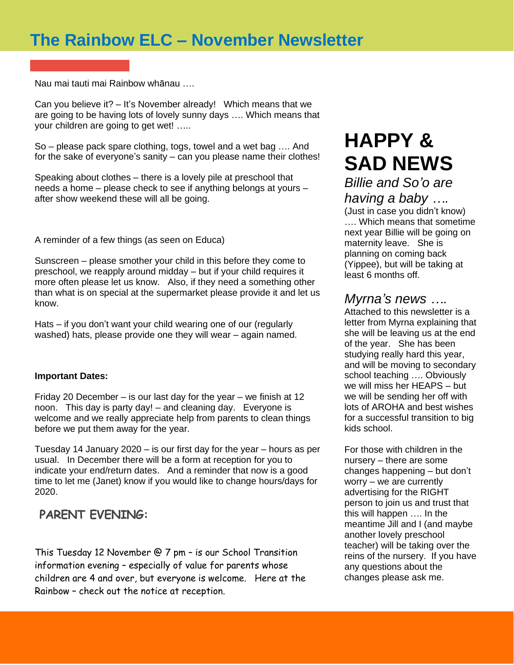## **The Rainbow ELC – November Newsletter**

Nau mai tauti mai Rainbow whānau ….

Can you believe it? – It's November already! Which means that we are going to be having lots of lovely sunny days …. Which means that your children are going to get wet! …..

So – please pack spare clothing, togs, towel and a wet bag …. And for the sake of everyone's sanity – can you please name their clothes!

Speaking about clothes – there is a lovely pile at preschool that needs a home – please check to see if anything belongs at yours – after show weekend these will all be going.

A reminder of a few things (as seen on Educa)

Sunscreen – please smother your child in this before they come to preschool, we reapply around midday – but if your child requires it more often please let us know. Also, if they need a something other than what is on special at the supermarket please provide it and let us know.

Hats – if you don't want your child wearing one of our (regularly washed) hats, please provide one they will wear – again named.

#### **Important Dates:**

Friday 20 December – is our last day for the year – we finish at 12 noon. This day is party day! – and cleaning day. Everyone is welcome and we really appreciate help from parents to clean things before we put them away for the year.

Tuesday 14 January 2020 – is our first day for the year – hours as per usual. In December there will be a form at reception for you to indicate your end/return dates. And a reminder that now is a good time to let me (Janet) know if you would like to change hours/days for 2020.

#### **PARENT EVENING:**

This Tuesday 12 November @ 7 pm – is our School Transition information evening – especially of value for parents whose children are 4 and over, but everyone is welcome. Here at the Rainbow – check out the notice at reception.

# **HAPPY & SAD NEWS**

*Billie and So'o are having a baby ….*

(Just in case you didn't know) …. Which means that sometime next year Billie will be going on maternity leave. She is planning on coming back (Yippee), but will be taking at least 6 months off.

#### *Myrna's news ….*

Attached to this newsletter is a letter from Myrna explaining that she will be leaving us at the end of the year. She has been studying really hard this year, and will be moving to secondary school teaching …. Obviously we will miss her HEAPS – but we will be sending her off with lots of AROHA and best wishes for a successful transition to big kids school.

For those with children in the nursery – there are some changes happening – but don't worry – we are currently advertising for the RIGHT person to join us and trust that this will happen …. In the meantime Jill and I (and maybe another lovely preschool teacher) will be taking over the reins of the nursery. If you have any questions about the changes please ask me.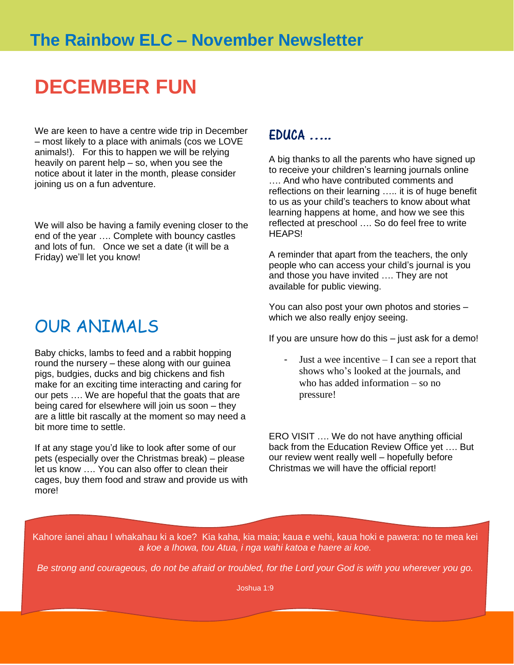## **DECEMBER FUN**

We are keen to have a centre wide trip in December – most likely to a place with animals (cos we LOVE animals!). For this to happen we will be relying heavily on parent help – so, when you see the notice about it later in the month, please consider joining us on a fun adventure.

We will also be having a family evening closer to the end of the year …. Complete with bouncy castles and lots of fun. Once we set a date (it will be a Friday) we'll let you know!

## OUR ANIMALS

Baby chicks, lambs to feed and a rabbit hopping round the nursery – these along with our guinea pigs, budgies, ducks and big chickens and fish make for an exciting time interacting and caring for our pets …. We are hopeful that the goats that are being cared for elsewhere will join us soon – they are a little bit rascally at the moment so may need a bit more time to settle.

If at any stage you'd like to look after some of our pets (especially over the Christmas break) – please let us know …. You can also offer to clean their cages, buy them food and straw and provide us with more!

### EDUCA …..

A big thanks to all the parents who have signed up to receive your children's learning journals online …. And who have contributed comments and reflections on their learning ….. it is of huge benefit to us as your child's teachers to know about what learning happens at home, and how we see this reflected at preschool …. So do feel free to write **HFAPS!** 

A reminder that apart from the teachers, the only people who can access your child's journal is you and those you have invited …. They are not available for public viewing.

You can also post your own photos and stories – which we also really enjoy seeing.

If you are unsure how do this – just ask for a demo!

- Just a wee incentive – I can see a report that shows who's looked at the journals, and who has added information – so no pressure!

ERO VISIT …. We do not have anything official back from the Education Review Office yet …. But our review went really well – hopefully before Christmas we will have the official report!

Kahore ianei ahau I whakahau ki a koe? Kia kaha, kia maia; kaua e wehi, kaua hoki e pawera: no te mea kei *a koe a Ihowa, tou Atua, i nga wahi katoa e haere ai koe.*

*Be strong and courageous, do not be afraid or troubled, for the Lord your God is with you wherever you go.*

Joshua 1:9